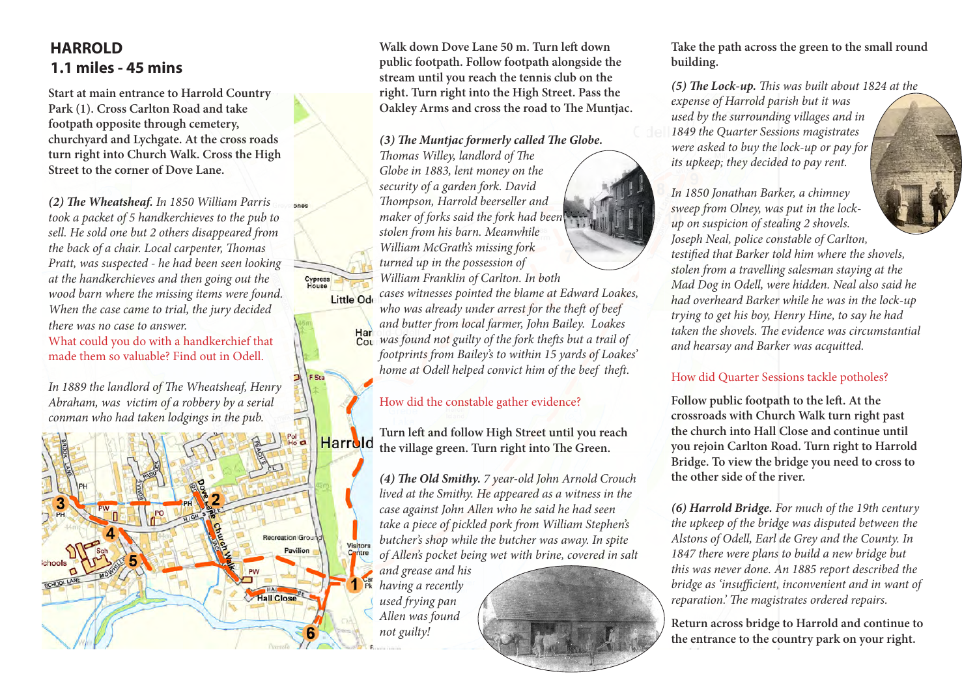## **HARROLD 1.1 miles - 45 mins**

**Start at main entrance to Harrold Country Park (1). Cross Carlton Road and take footpath opposite through cemetery, churchyard and Lychgate. At the cross roads turn right into Church Walk. Cross the High Street to the corner of Dove Lane.**

*(2) The Wheatsheaf. In 1850 William Parris took a packet of 5 handkerchieves to the pub to sell. He sold one but 2 others disappeared from the back of a chair. Local carpenter, Thomas Pratt, was suspected - he had been seen looking at the handkerchieves and then going out the wood barn where the missing items were found. When the case came to trial, the jury decided there was no case to answer.* What could you do with a handkerchief that

Cypress

made them so valuable? Find out in Odell.

*In 1889 the landlord of The Wheatsheaf, Henry Abraham, was victim of a robbery by a serial conman who had taken lodgings in the pub.*



**Walk down Dove Lane 50 m. Turn left down public footpath. Follow footpath alongside the stream until you reach the tennis club on the right. Turn right into the High Street. Pass the Oakley Arms and cross the road to The Muntjac.**

*(3) The Muntjac formerly called The Globe.* 

*Thomas Willey, landlord of The Globe in 1883, lent money on the security of a garden fork. David Thompson, Harrold beerseller and maker of forks said the fork had been stolen from his barn. Meanwhile William McGrath's missing fork turned up in the possession of William Franklin of Carlton. In both cases witnesses pointed the blame at Edward Loakes,*  Little Ode *who was already under arrest for the theft of beef and butter from local farmer, John Bailey. Loakes*  Har *was found not guilty of the fork thefts but a trail of footprints from Bailey's to within 15 yards of Loakes' home at Odell helped convict him of the beef theft.*

### How did the constable gather evidence?

**Turn left and follow High Street until you reach the village green. Turn right into The Green.**

*(4) The Old Smithy. 7 year-old John Arnold Crouch lived at the Smithy. He appeared as a witness in the case against John Allen who he said he had seen take a piece of pickled pork from William Stephen's butcher's shop while the butcher was away. In spite of Allen's pocket being wet with brine, covered in salt* 

*and grease and his having a recently used frying pan Allen was found not guilty!* 



#### **Take the path across the green to the small round building.**

*(5) The Lock-up. This was built about 1824 at the expense of Harrold parish but it was used by the surrounding villages and in 1849 the Quarter Sessions magistrates were asked to buy the lock-up or pay for its upkeep; they decided to pay rent.*

*In 1850 Jonathan Barker, a chimney sweep from Olney, was put in the lockup on suspicion of stealing 2 shovels. Joseph Neal, police constable of Carlton, testified that Barker told him where the shovels, stolen from a travelling salesman staying at the Mad Dog in Odell, were hidden. Neal also said he had overheard Barker while he was in the lock-up trying to get his boy, Henry Hine, to say he had taken the shovels. The evidence was circumstantial and hearsay and Barker was acquitted.* 

## How did Quarter Sessions tackle potholes?

**Follow public footpath to the left. At the crossroads with Church Walk turn right past the church into Hall Close and continue until you rejoin Carlton Road. Turn right to Harrold Bridge. To view the bridge you need to cross to the other side of the river.**

*(6) Harrold Bridge. For much of the 19th century the upkeep of the bridge was disputed between the Alstons of Odell, Earl de Grey and the County. In 1847 there were plans to build a new bridge but this was never done. An 1885 report described the bridge as 'insufficient, inconvenient and in want of reparation.' The magistrates ordered repairs.*

**Return across bridge to Harrold and continue to the entrance to the country park on your right.**